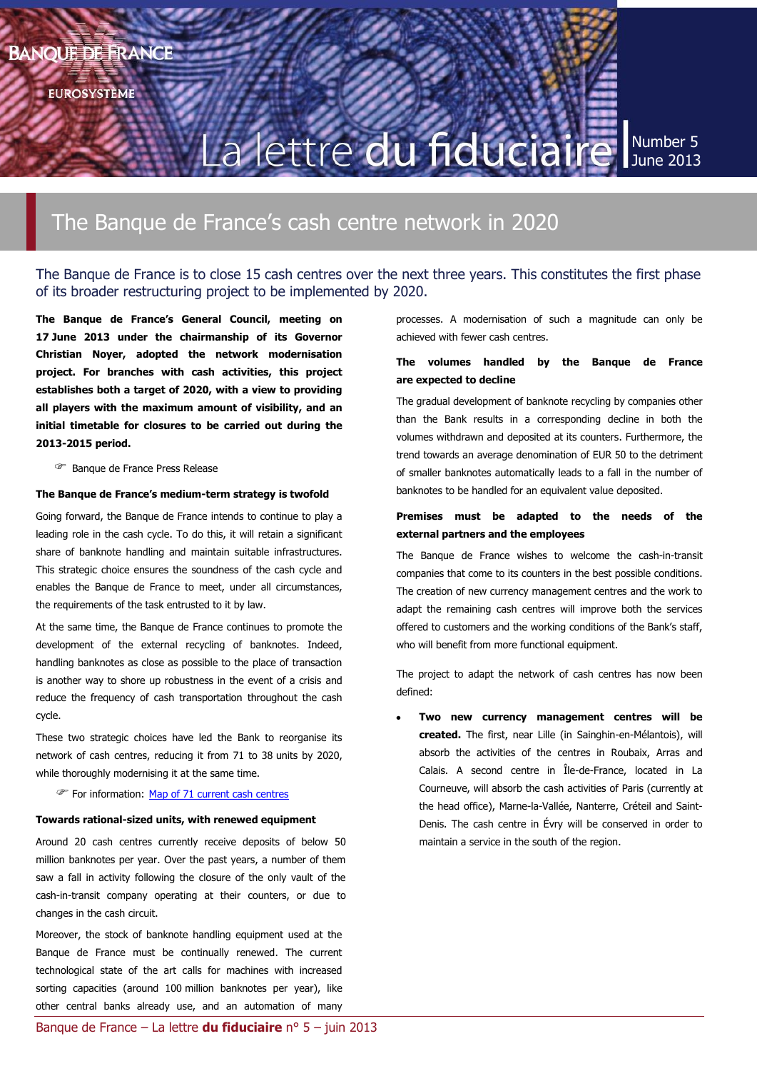**EUROSYSTÈME** 

# La lettre du fiduciaire

Number 5 June 2013

# The Banque de France's cash centre network in 2020

# The Banque de France is to close 15 cash centres over the next three years. This constitutes the first phase of its broader restructuring project to be implemented by 2020.

**The Banque de France's General Council, meeting on 17 June 2013 under the chairmanship of its Governor Christian Noyer, adopted the network modernisation project. For branches with cash activities, this project establishes both a target of 2020, with a view to providing all players with the maximum amount of visibility, and an initial timetable for closures to be carried out during the 2013-2015 period.**

Banque de France Press Release

#### **The Banque de France's medium-term strategy is twofold**

Going forward, the Banque de France intends to continue to play a leading role in the cash cycle. To do this, it will retain a significant share of banknote handling and maintain suitable infrastructures. This strategic choice ensures the soundness of the cash cycle and enables the Banque de France to meet, under all circumstances, the requirements of the task entrusted to it by law.

At the same time, the Banque de France continues to promote the development of the external recycling of banknotes. Indeed, handling banknotes as close as possible to the place of transaction is another way to shore up robustness in the event of a crisis and reduce the frequency of cash transportation throughout the cash cycle.

These two strategic choices have led the Bank to reorganise its network of cash centres, reducing it from 71 to 38 units by 2020, while thoroughly modernising it at the same time.

For information: [Map of 71 current cash centres](http://www.banque-france.fr/fileadmin/user_upload/banque_de_france/La_Banque_de_France/pdf/La_Banque_de_France/annexe-1-liste-des-caisses-de-la-banque-de-france.pdf)

#### **Towards rational-sized units, with renewed equipment**

Around 20 cash centres currently receive deposits of below 50 million banknotes per year. Over the past years, a number of them saw a fall in activity following the closure of the only vault of the cash-in-transit company operating at their counters, or due to changes in the cash circuit.

Moreover, the stock of banknote handling equipment used at the Banque de France must be continually renewed. The current technological state of the art calls for machines with increased sorting capacities (around 100 million banknotes per year), like other central banks already use, and an automation of many processes. A modernisation of such a magnitude can only be achieved with fewer cash centres.

## **The volumes handled by the Banque de France are expected to decline**

The gradual development of banknote recycling by companies other than the Bank results in a corresponding decline in both the volumes withdrawn and deposited at its counters. Furthermore, the trend towards an average denomination of EUR 50 to the detriment of smaller banknotes automatically leads to a fall in the number of banknotes to be handled for an equivalent value deposited.

### **Premises must be adapted to the needs of the external partners and the employees**

The Banque de France wishes to welcome the cash-in-transit companies that come to its counters in the best possible conditions. The creation of new currency management centres and the work to adapt the remaining cash centres will improve both the services offered to customers and the working conditions of the Bank's staff, who will benefit from more functional equipment.

The project to adapt the network of cash centres has now been defined:

**Two new currency management centres will be created.** The first, near Lille (in Sainghin-en-Mélantois), will absorb the activities of the centres in Roubaix, Arras and Calais. A second centre in Île-de-France, located in La Courneuve, will absorb the cash activities of Paris (currently at the head office), Marne-la-Vallée, Nanterre, Créteil and Saint-Denis. The cash centre in Évry will be conserved in order to maintain a service in the south of the region.

Banque de France – La lettre **du fiduciaire** n° 5 – juin 2013